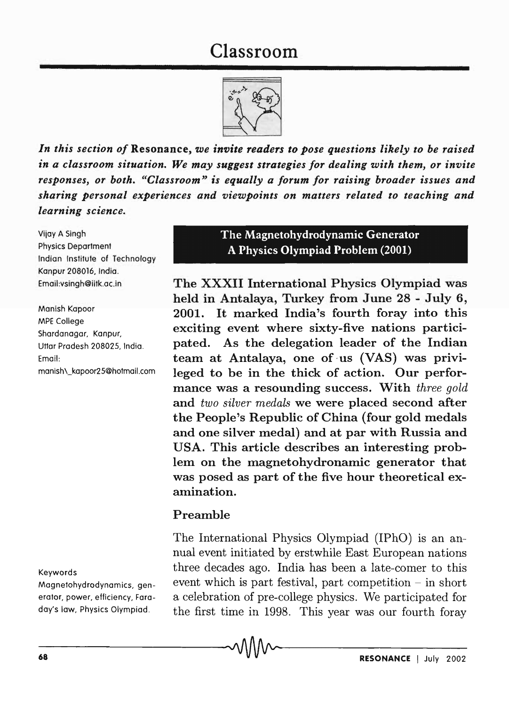# Classroom



*In this section of* Resonance, *we invite readers to pose questions likely to be raised in a classroom situation. We may suggest strategies for dealing with them, or invite responses, or both. "Classroom" is equally a forum for raising broader issues and sharing personal experiences and viewpoints on matters related to teaching and learning science.* 

Vijay A Singh Physics Department Indian Institute of Technology Kanpur 208016, India. Email:vsingh@iitk.ac.in

Manish Kapoor MPE College Shardanagar, Kanpur, Uttar Pradesh 208025, India. Email: manish,\_kapoor2S@hotmail.com

#### Keywords

Magnetohydrodynamics, generator, power, efficiency, Faraday's law, Physics Olympiad.

## The Magnetohydrodynamic Generator A Physics Olympiad Problem (2001)

The XXXII International Physics Olympiad was held in Antalaya, Turkey from June 28 - July 6, 2001. It marked India's fourth foray into this exciting event where sixty-five nations participated. As the delegation leader of the Indian team at Antalaya, one of us (VAS) was privileged to be in the thick of action. Our performance was a resounding success. With *three gold*  and *two silver medals* we were placed second after the People's Republic of China (four gold medals and one silver medal) and at par with Russia and USA. This article describes an interesting problem on the magnetohydronamic generator that was posed as part of the five hour theoretical examination.

### Preamble

The International Physics Olympiad (IPhO) is an annual event initiated by erstwhile East European nations three decades ago. India has been a late-comer to this event which is part festival, part competition  $-$  in short a celebration of pre-college physics. We participated for the first time in 1998. This year was our fourth foray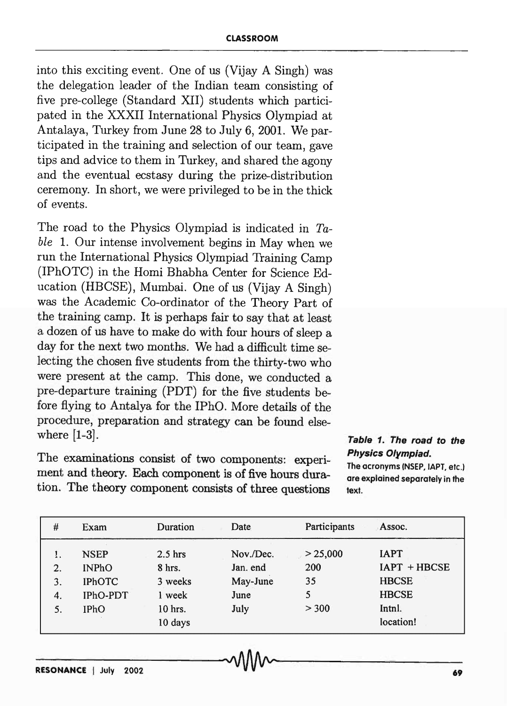into this exciting event. One of us (Vijay A Singh) was the delegation leader of the Indian team consisting of five pre-college (Standard XII) students which participated in the XXXII International Physics Olympiad at Antalaya, Turkey from June 28 to July 6,2001. We participated in the training and selection of our team, gave tips and advice to them in Turkey, and shared the agony and the eventual ecstasy during the prize-distribution ceremony. In short, we were privileged to be in the thick of events.

The road to the Physics Olympiad is indicated in *Table* 1. Our intense involvement begins in May when we run the International Physics Olympiad Training Camp (IPhOTC) in the Homi Bhabha Center for Science Education (HBCSE), Mumbai. One of us (Vijay A Singh) was the Academic Co-ordinator of the Theory Part of the training camp. It is perhaps fair to say that at least a dozen of us have to make do with four hours of sleep a day for the next two months. We had a difficult time selecting the chosen five students from the thirty-two who were present at the camp. This done, we conducted a pre-departure training (PDT) for the five students before flying to Antalya for the IPhO. More details of the procedure, preparation and strategy can be found elsewhere [1-3].

The examinations consist of two components: experiment and theory. Each component is of five hours duration. The theory component consists of three questions

**Table 1. The road to the Physics Olympiad.**  The acronyms (NSEP, tAPT, etc.) are explained separately in the text.

| $\#$ | Exam          | Duration  | Date      | Participants | Assoc.         |
|------|---------------|-----------|-----------|--------------|----------------|
| 1.   | <b>NSEP</b>   | $2.5$ hrs | Nov./Dec. | > 25,000     | <b>IAPT</b>    |
| 2.   | <b>INPhO</b>  | 8 hrs.    | Jan. end  | 200          | $IAPT + HBCSE$ |
| 3.   | <b>IPhOTC</b> | 3 weeks   | May-June  | 35           | <b>HBCSE</b>   |
| 4.   | IPhO-PDT      | 1 week    | June      | 5            | <b>HBCSE</b>   |
| 5.   | <b>IPhO</b>   | $10$ hrs. | July      | > 300        | Intnl.         |
|      |               | 10 days   |           |              | location!      |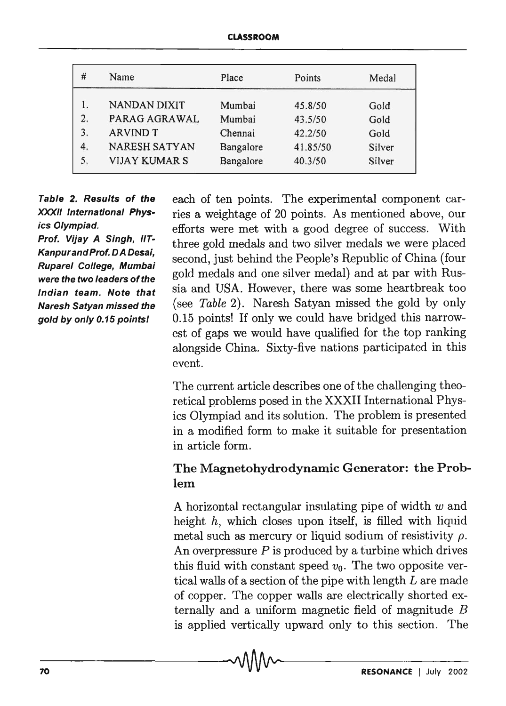| #  | Name                 | Place     | Points   | Medal  |
|----|----------------------|-----------|----------|--------|
|    | <b>NANDAN DIXIT</b>  | Mumbai    | 45.8/50  | Gold   |
| 2. | PARAG AGRAWAL        | Mumbai    | 43.5/50  | Gold   |
| 3. | <b>ARVIND T</b>      | Chennai   | 42.2/50  | Gold   |
| 4. | <b>NARESH SATYAN</b> | Bangalore | 41.85/50 | Silver |
| 5. | <b>VIJAY KUMAR S</b> | Bangalore | 40.3/50  | Silver |

Table 2. Results of the XXXII International Physics Olympiad.

Prof. Vijay A Singh, IIT-KanpurandProf. DA Desai, Ruparel College, Mumbai were the two leaders of the Indian team. Note that Naresh Satyan missed the gold by only 0.15 pointsl

each of ten points. The experimental component carries a weight age of 20 points. As mentioned above, our efforts were met with a good degree of success. With three gold medals and two silver medals we were placed second, just behind the People's Republic of China (four gold medals and one silver medal) and at par with Russia and USA. However, there was some heartbreak too (see *Table 2*). Naresh Satyan missed the gold by only 0.15 points! If only we could have bridged this narrowest of gaps we would have qualified for the top ranking alongside China. Sixty-five nations participated in this event.

The current article describes one of the challenging theoretical problems posed in the XXXII International Physics Olympiad and its solution. The problem is presented in a modified form to make it suitable for presentation in article form.

# The Magnetohydrodynamic Generator: the Problem

A horizontal rectangular insulating pipe of width  $w$  and height  $h$ , which closes upon itself, is filled with liquid metal such as mercury or liquid sodium of resistivity  $\rho$ . An overpressure  $P$  is produced by a turbine which drives this fluid with constant speed  $v_0$ . The two opposite vertical walls of a section of the pipe with length L are made of copper. The copper walls are electrically shorted externally and a uniform magnetic field of magnitude B is applied vertically upward only to this section. The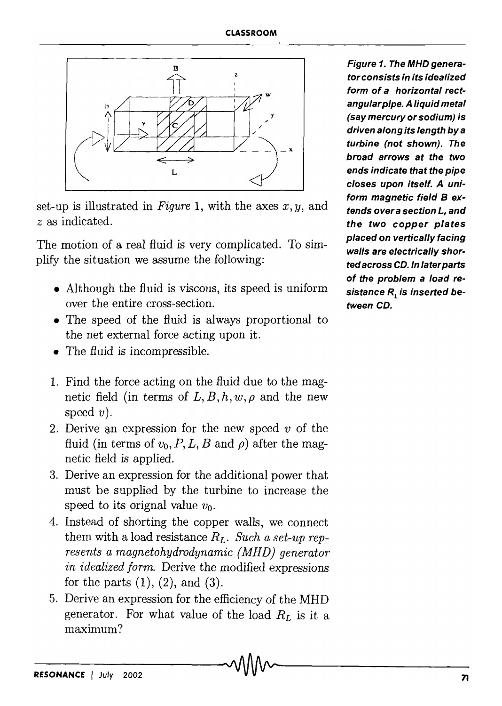

set-up is illustrated in *Figure* 1, with the axes *x, y,* and *z* as indicated.

The motion of a real fluid is very complicated. To simplify the situation we assume the following:

- Although the fluid is viscous, its speed is uniform over the entire cross-section.
- The speed of the fluid is always proportional to the net external force acting upon it.
- The fluid is incompressible.
- 1. Find the force acting on the fluid due to the magnetic field (in terms of  $L, B, h, w, \rho$  and the new speed  $v$ ).
- 2. Derive an expression for the new speed  $v$  of the fluid (in terms of  $v_0$ , P, L, B and  $\rho$ ) after the magnetic field is applied.
- 3. Derive an expression for the additional power that must be supplied by the turbine to increase the speed to its orignal value  $v_0$ .
- 4. Instead of shorting the copper walls, we connect them with a load resistance  $R_L$ . *Such a set-up represents a magnetohydrodynamic (MHD) generator in idealized form.* Derive the modified expressions for the parts  $(1)$ ,  $(2)$ , and  $(3)$ .
- 5. Derive an expression for the efficiency of the MHD generator. For what value of the load  $R_L$  is it a maximum?

Figure 1. The MHO generator consists in its idealized form of a horizontal rectangular pipe. A liquid metal (say mercury or sodium) is driven along its length by a turbine (not shown). The broad arrows at the two ends indicate that the pipe closes upon itself. A uniform magnetic field B extends over a section L, and the two copper plates placed on vertically facing walls are electrically shorted across CD. In laterparts of the problem a load resistance  $R_i$  is inserted between CD.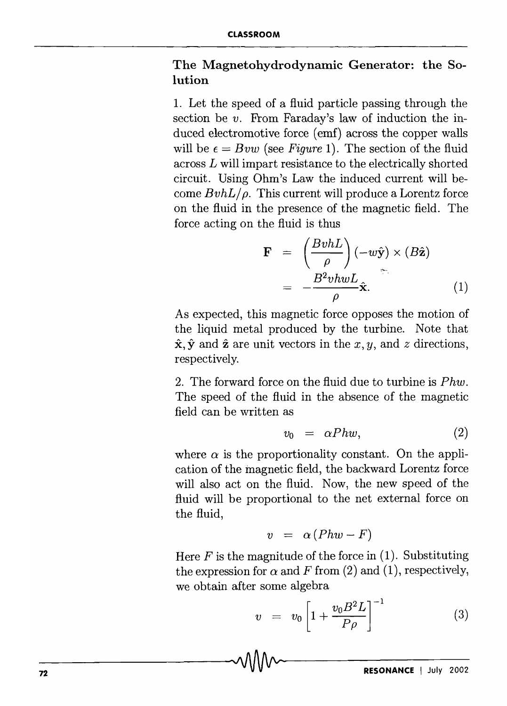# The Magnetohydrodynamic Generator: the Solution

1. Let the speed of a fluid particle passing through the section be *v*. From Faraday's law of induction the induced electromotive force (emf) across the copper walls will be  $\epsilon = Bvw$  (see *Figure 1*). The section of the fluid across *L* will impart resistance to the electrically shorted circuit. Using Ohm's Law the induced current will become  $Bv h L/\rho$ . This current will produce a Lorentz force on the fluid in the presence of the magnetic field. The force acting on the fluid is thus

$$
\mathbf{F} = \left(\frac{BvhL}{\rho}\right)(-w\hat{\mathbf{y}}) \times (B\hat{\mathbf{z}})
$$

$$
= -\frac{B^2vhwL}{\rho}\hat{\mathbf{x}}.
$$
 (1)

As expected, this magnetic force opposes the motion of the liquid metal produced by the turbine. Note that  $\hat{\mathbf{x}}, \hat{\mathbf{y}}$  and  $\hat{\mathbf{z}}$  are unit vectors in the *x*, *y*, and *z* directions, respectively.

2. The forward force on the fluid due to turbine is *Phw.*  The speed of the fluid in the absence of the magnetic field can be written as

$$
v_0 = \alpha Phw, \tag{2}
$$

where  $\alpha$  is the proportionality constant. On the application of the magnetic field, the backward Lorentz force will also act on the fluid. Now, the new speed of the fluid will be proportional to the net external force on the fluid,

$$
v = \alpha (Phw - F)
$$

Here  $F$  is the magnitude of the force in (1). Substituting the expression for  $\alpha$  and F from (2) and (1), respectively, we obtain after some algebra

$$
v = v_0 \left[ 1 + \frac{v_0 B^2 L}{P \rho} \right]^{-1} \tag{3}
$$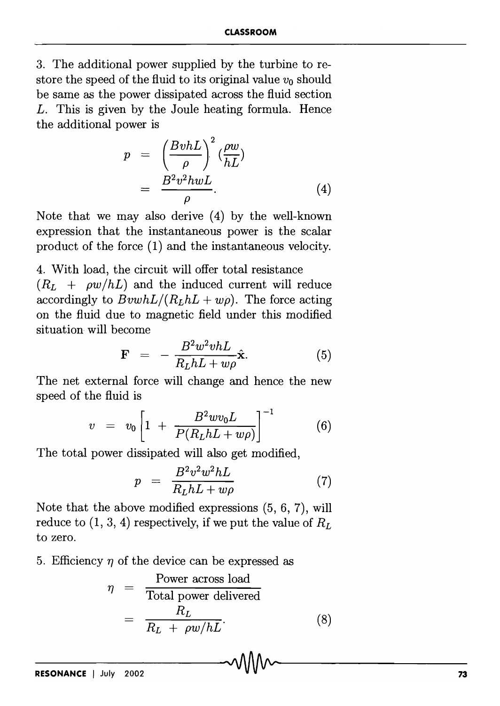3. The additional power supplied by the turbine to restore the speed of the fluid to its original value  $v_0$  should be same as the power dissipated across the fluid section *L.* This is given by the Joule heating formula. Hence the additional power is

$$
p = \left(\frac{BvhL}{\rho}\right)^2 \left(\frac{\rho w}{hL}\right)
$$
  
= 
$$
\frac{B^2 v^2 h wL}{\rho}.
$$
 (4)

Note that we may also derive (4) by the well-known expression that the instantaneous power is the scalar product of the force (1) and the instantaneous velocity.

4. With load, the circuit will offer total resistance  $(R_L + \rho w/hL)$  and the induced current will reduce accordingly to  $BvwhL/(R<sub>L</sub>hL + w<sub>0</sub>)$ . The force acting on the fluid due to magnetic field under this modified situation will become

$$
\mathbf{F} = -\frac{B^2 w^2 v h L}{R_L h L + w \rho} \hat{\mathbf{x}}.
$$
 (5)

The net external force will change and hence the new speed of the fluid is

$$
v = v_0 \left[ 1 + \frac{B^2 w v_0 L}{P(R_L h L + w \rho)} \right]^{-1} \tag{6}
$$

The total power dissipated will also get modified,

$$
p = \frac{B^2 v^2 w^2 hL}{R_L hL + w\rho} \tag{7}
$$

Note that the above modified expressions (5, 6, 7), will reduce to  $(1, 3, 4)$  respectively, if we put the value of  $R_L$ to zero.

5. Efficiency  $\eta$  of the device can be expressed as

$$
\eta = \frac{\text{Power across load}}{\text{Total power delivered}}
$$

$$
= \frac{R_L}{R_L + \rho w / hL}.
$$
(8)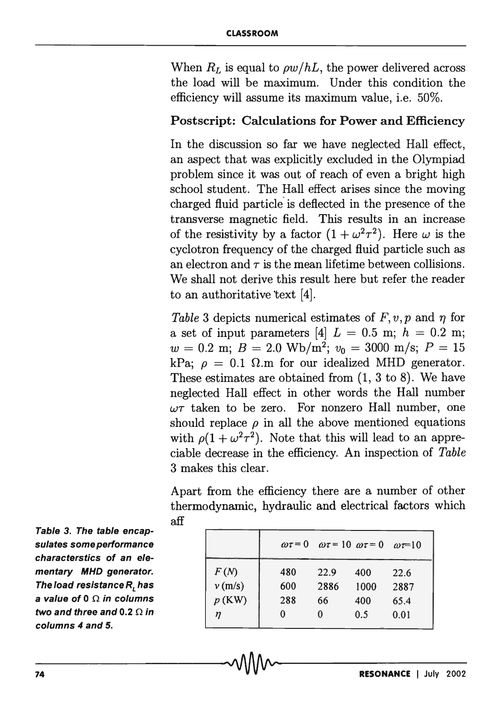When  $R_L$  is equal to  $\rho w/hL$ , the power delivered across the load will be maximum. Under this condition the efficiency will assume its maximum value, i.e. 50%.

# Postscript: Calculations for Power and Efficiency

In the discussion so far we have neglected Hall effect, an aspect that was explicitly excluded in the Olympiad problem since it was out of reach of even a bright high school student. The Hall effect arises since the moving charged fluid particle' is deflected in the presence of the transverse magnetic field. This results in an increase of the resistivity by a factor  $(1 + \omega^2 \tau^2)$ . Here  $\omega$  is the cyclotron frequency of the charged fluid particle such as an electron and  $\tau$  is the mean lifetime between collisions. We shall not derive this result here but refer the reader to an authoritative text  $[4]$ .

*Table 3* depicts numerical estimates of  $F, v, p$  and  $\eta$  for a set of input parameters [4]  $L = 0.5$  m;  $h = 0.2$  m;  $w = 0.2$  m;  $B = 2.0$  Wb/m<sup>2</sup>;  $v_0 = 3000$  m/s;  $P = 15$ kPa;  $\rho = 0.1 \Omega$ .m for our idealized MHD generator. These estimates are obtained from (1, 3 to 8). We have neglected Hall effect in other words the Hall number  $\omega\tau$  taken to be zero. For nonzero Hall number, one should replace  $\rho$  in all the above mentioned equations with  $\rho(1 + \omega^2 \tau^2)$ . Note that this will lead to an appreciable decrease in the efficiency. An inspection of *Table*  3 makes this clear.

Apart from the efficiency there are a number of other thermodynamic, hydraulic and electrical factors which aff

|          |     | $\omega \tau = 0$ $\omega \tau = 10$ $\omega \tau = 0$ $\omega \tau = 10$ |      |      |
|----------|-----|---------------------------------------------------------------------------|------|------|
| F(N)     | 480 | 22.9                                                                      | 400  | 22.6 |
| v(m/s)   | 600 | 2886                                                                      | 1000 | 2887 |
| $p$ (KW) | 288 | 66                                                                        | 400  | 65.4 |
| η        | 0   | 0                                                                         | 0.5  | 0.01 |

Table 3. The table encapsulates some performance characterstics of an elementary MHD generator. The load resistance  $R$ , has a value of 0  $\Omega$  in columns two and three and 0.2  $\Omega$  in columns 4 and 5.